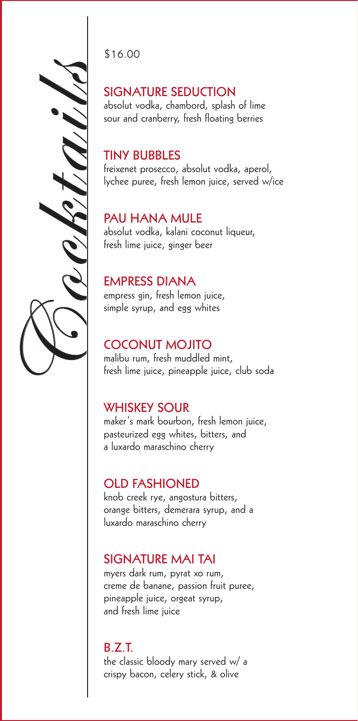SIGNATURE SEDUCTION<br>
absolut vodka, chambord, splash<br>
sour and cranberry, fresh floating<br>
TINY BUBBLES<br>
Freixenet prosecco, absolut vodka<br>
kychee puree, fresh lemon juice, s<br>
PAU HANA MULE<br>
absolut vodka, kalani coconut li

\$16.00

absolut vodka, chambord, splash of lime sour and cranberry, fresh floating berries

#### **TINY BUBBLES**

freixenet prosecco, absolut vodka, aperol, lychee puree, fresh lemon juice, served w/ice

#### **PAU HANA MULE**

absolut vodka, kalani coconut liqueur, fresh lime juice, ginger beer

#### **EMPRESS DIANA**

empress gin, fresh lemon juice, simple syrup, and egg whites

#### **COCONUT MOJITO**

malibu rum, fresh muddled mint, fresh lime juice, pineapple juice, club soda

#### **WHISKEY SOUR**

maker's mark bourbon, fresh lemon juice, pasteurized egg whites, bitters, and a luxardo maraschino cherry

### **OLD FASHIONED**

knob creek rye, angostura bitters, orange bitters, demerara syrup, and a luxardo maraschino cherry

#### **SIGNATURE MAI TAI**

myers dark rum, pyrat xo rum, creme de banane, passion fruit puree, pineapple juice, orgeat syrup, and fresh lime juice

#### **B.Z.T.** the classic bloody mary served w/ a crispy bacon, celery stick, & olive